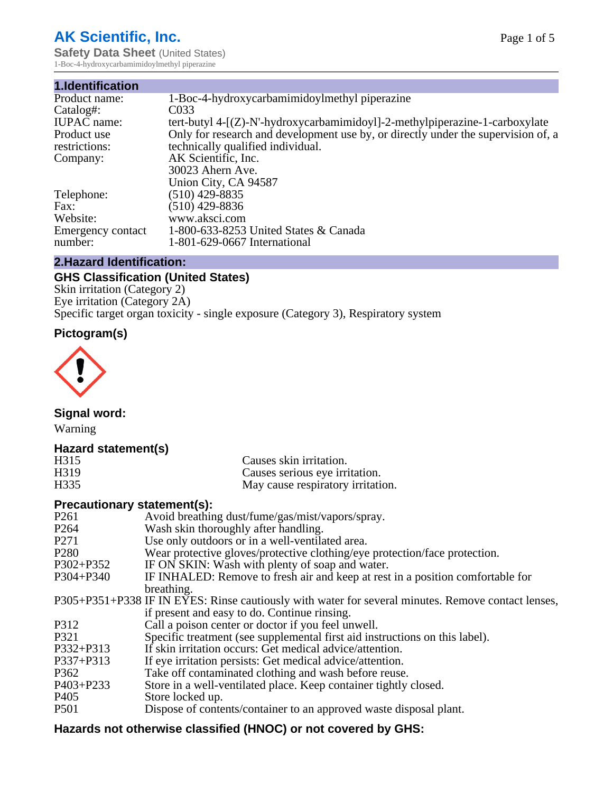# **AK Scientific, Inc.**

**Safety Data Sheet (United States)** 1-Boc-4-hydroxycarbamimidoylmethyl piperazine

| 1.Identification   |                                                                                   |
|--------------------|-----------------------------------------------------------------------------------|
| Product name:      | 1-Boc-4-hydroxycarbamimidoylmethyl piperazine                                     |
| Catalog#:          | C033                                                                              |
| <b>IUPAC</b> name: | tert-butyl $4-[Z]-N'-hydroxycarbamimidoyl]-2-methylpiperazine-1-carboxylate$      |
| Product use        | Only for research and development use by, or directly under the supervision of, a |
| restrictions:      | technically qualified individual.                                                 |
| Company:           | AK Scientific, Inc.                                                               |
|                    | 30023 Ahern Ave.                                                                  |
|                    | Union City, CA 94587                                                              |
| Telephone:         | $(510)$ 429-8835                                                                  |
| Fax:               | $(510)$ 429-8836                                                                  |
| Website:           | www.aksci.com                                                                     |
| Emergency contact  | 1-800-633-8253 United States & Canada                                             |
| number:            | 1-801-629-0667 International                                                      |

# **2.Hazard Identification:**

# **GHS Classification (United States)**

Skin irritation (Category 2) Eye irritation (Category 2A) Specific target organ toxicity - single exposure (Category 3), Respiratory system

# **Pictogram(s)**



**Signal word:**

Warning

# **Hazard statement(s)**

| H <sub>315</sub>  | Causes skin irritation.           |
|-------------------|-----------------------------------|
| H <sub>3</sub> 19 | Causes serious eye irritation.    |
| H335              | May cause respiratory irritation. |

# **Precautionary statement(s):**

| P <sub>261</sub> | Avoid breathing dust/fume/gas/mist/vapors/spray.                                                   |
|------------------|----------------------------------------------------------------------------------------------------|
| P <sub>264</sub> | Wash skin thoroughly after handling.                                                               |
| P <sub>271</sub> | Use only outdoors or in a well-ventilated area.                                                    |
| P <sub>280</sub> | Wear protective gloves/protective clothing/eye protection/face protection.                         |
| P302+P352        | IF ON SKIN: Wash with plenty of soap and water.                                                    |
| $P304 + P340$    | IF INHALED: Remove to fresh air and keep at rest in a position comfortable for                     |
|                  | breathing.                                                                                         |
|                  | P305+P351+P338 IF IN EYES: Rinse cautiously with water for several minutes. Remove contact lenses, |
|                  | if present and easy to do. Continue rinsing.                                                       |
| P312             | Call a poison center or doctor if you feel unwell.                                                 |
| P321             | Specific treatment (see supplemental first aid instructions on this label).                        |
| P332+P313        | If skin irritation occurs: Get medical advice/attention.                                           |
| P337+P313        | If eye irritation persists: Get medical advice/attention.                                          |
| P362             | Take off contaminated clothing and wash before reuse.                                              |
| $P403 + P233$    | Store in a well-ventilated place. Keep container tightly closed.                                   |
| P <sub>405</sub> | Store locked up.                                                                                   |
| P <sub>501</sub> | Dispose of contents/container to an approved waste disposal plant.                                 |
|                  |                                                                                                    |

# **Hazards not otherwise classified (HNOC) or not covered by GHS:**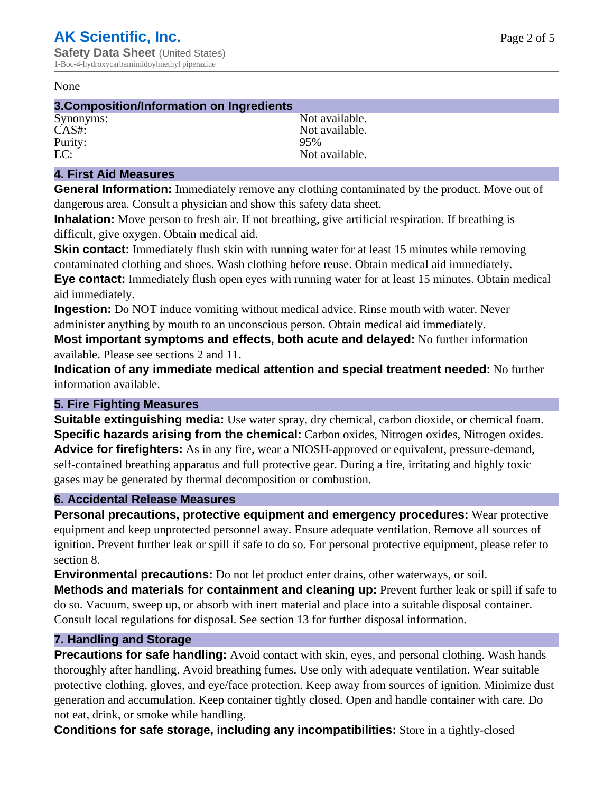#### None

#### **3.Composition/Information on Ingredients**

Purity:<br>EC:

Synonyms: Not available. CAS#:<br>Purity: 95% 95% Not available.

#### **4. First Aid Measures**

**General Information:** Immediately remove any clothing contaminated by the product. Move out of dangerous area. Consult a physician and show this safety data sheet.

**Inhalation:** Move person to fresh air. If not breathing, give artificial respiration. If breathing is difficult, give oxygen. Obtain medical aid.

**Skin contact:** Immediately flush skin with running water for at least 15 minutes while removing contaminated clothing and shoes. Wash clothing before reuse. Obtain medical aid immediately. **Eye contact:** Immediately flush open eyes with running water for at least 15 minutes. Obtain medical aid immediately.

**Ingestion:** Do NOT induce vomiting without medical advice. Rinse mouth with water. Never administer anything by mouth to an unconscious person. Obtain medical aid immediately.

**Most important symptoms and effects, both acute and delayed:** No further information available. Please see sections 2 and 11.

**Indication of any immediate medical attention and special treatment needed:** No further information available.

#### **5. Fire Fighting Measures**

**Suitable extinguishing media:** Use water spray, dry chemical, carbon dioxide, or chemical foam. **Specific hazards arising from the chemical:** Carbon oxides, Nitrogen oxides, Nitrogen oxides. **Advice for firefighters:** As in any fire, wear a NIOSH-approved or equivalent, pressure-demand, self-contained breathing apparatus and full protective gear. During a fire, irritating and highly toxic gases may be generated by thermal decomposition or combustion.

#### **6. Accidental Release Measures**

**Personal precautions, protective equipment and emergency procedures:** Wear protective equipment and keep unprotected personnel away. Ensure adequate ventilation. Remove all sources of ignition. Prevent further leak or spill if safe to do so. For personal protective equipment, please refer to section 8.

**Environmental precautions:** Do not let product enter drains, other waterways, or soil.

**Methods and materials for containment and cleaning up:** Prevent further leak or spill if safe to do so. Vacuum, sweep up, or absorb with inert material and place into a suitable disposal container. Consult local regulations for disposal. See section 13 for further disposal information.

#### **7. Handling and Storage**

**Precautions for safe handling:** Avoid contact with skin, eyes, and personal clothing. Wash hands thoroughly after handling. Avoid breathing fumes. Use only with adequate ventilation. Wear suitable protective clothing, gloves, and eye/face protection. Keep away from sources of ignition. Minimize dust generation and accumulation. Keep container tightly closed. Open and handle container with care. Do not eat, drink, or smoke while handling.

**Conditions for safe storage, including any incompatibilities:** Store in a tightly-closed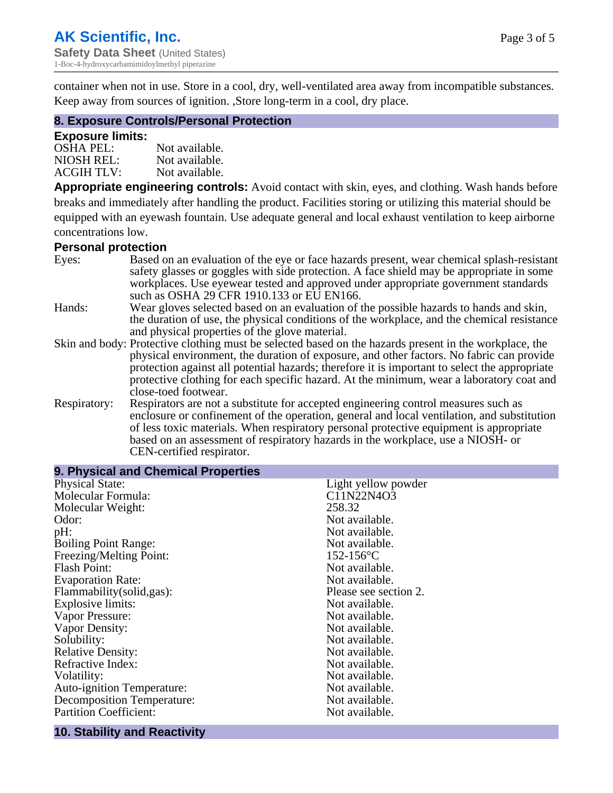container when not in use. Store in a cool, dry, well-ventilated area away from incompatible substances. Keep away from sources of ignition. ,Store long-term in a cool, dry place.

#### **8. Exposure Controls/Personal Protection**

#### **Exposure limits:**

| <b>OSHA PEL:</b>  | Not available. |
|-------------------|----------------|
| NIOSH REL:        | Not available. |
| <b>ACGIH TLV:</b> | Not available. |

**Appropriate engineering controls:** Avoid contact with skin, eyes, and clothing. Wash hands before breaks and immediately after handling the product. Facilities storing or utilizing this material should be equipped with an eyewash fountain. Use adequate general and local exhaust ventilation to keep airborne concentrations low.

#### **Personal protection**

| Eyes:        | Based on an evaluation of the eye or face hazards present, wear chemical splash-resistant<br>safety glasses or goggles with side protection. A face shield may be appropriate in some |
|--------------|---------------------------------------------------------------------------------------------------------------------------------------------------------------------------------------|
|              | workplaces. Use eyewear tested and approved under appropriate government standards<br>such as OSHA 29 CFR 1910.133 or EU EN166.                                                       |
| Hands:       | Wear gloves selected based on an evaluation of the possible hazards to hands and skin,                                                                                                |
|              | the duration of use, the physical conditions of the workplace, and the chemical resistance                                                                                            |
|              | and physical properties of the glove material.                                                                                                                                        |
|              | Skin and body: Protective clothing must be selected based on the hazards present in the workplace, the                                                                                |
|              | physical environment, the duration of exposure, and other factors. No fabric can provide                                                                                              |
|              | protection against all potential hazards; therefore it is important to select the appropriate                                                                                         |
|              | protective clothing for each specific hazard. At the minimum, wear a laboratory coat and                                                                                              |
|              | close-toed footwear.                                                                                                                                                                  |
| Respiratory: | Respirators are not a substitute for accepted engineering control measures such as<br>enclosure or confinement of the operation, general and local ventilation, and substitution      |
|              | of less toxic materials. When respiratory personal protective equipment is appropriate                                                                                                |
|              |                                                                                                                                                                                       |
|              | based on an assessment of respiratory hazards in the workplace, use a NIOSH- or                                                                                                       |
|              | CEN-certified respirator.                                                                                                                                                             |

| 9. Physical and Chemical Properties |                       |
|-------------------------------------|-----------------------|
| <b>Physical State:</b>              | Light yellow powder   |
| Molecular Formula:                  | C11N22N4O3            |
| Molecular Weight:                   | 258.32                |
| Odor:                               | Not available.        |
| pH:                                 | Not available.        |
| <b>Boiling Point Range:</b>         | Not available.        |
| Freezing/Melting Point:             | $152 - 156$ °C        |
| <b>Flash Point:</b>                 | Not available.        |
| <b>Evaporation Rate:</b>            | Not available.        |
| Flammability(solid,gas):            | Please see section 2. |
| Explosive limits:                   | Not available.        |
| Vapor Pressure:                     | Not available.        |
| Vapor Density:                      | Not available.        |
| Solubility:                         | Not available.        |
| <b>Relative Density:</b>            | Not available.        |
| Refractive Index:                   | Not available.        |
| Volatility:                         | Not available.        |
| <b>Auto-ignition Temperature:</b>   | Not available.        |
| <b>Decomposition Temperature:</b>   | Not available.        |
| <b>Partition Coefficient:</b>       | Not available.        |

# **10. Stability and Reactivity**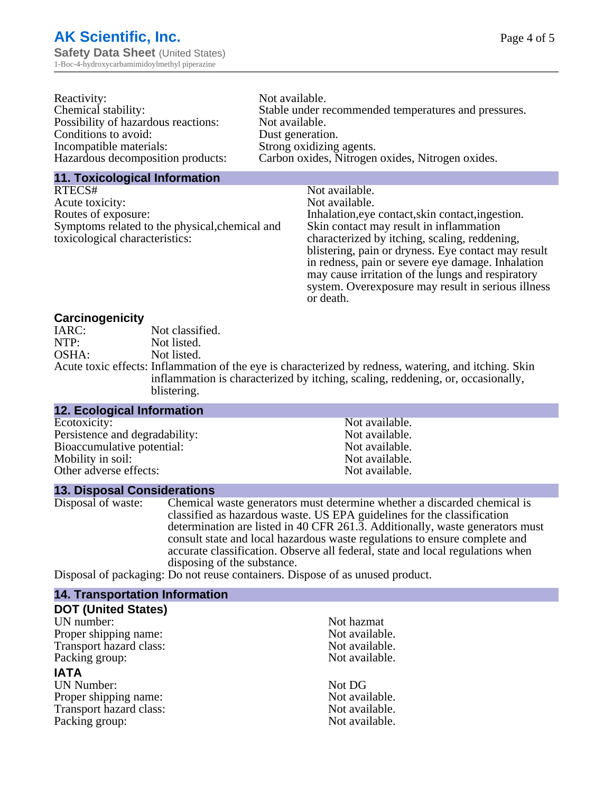| Reactivity:                         | Not available.                                       |
|-------------------------------------|------------------------------------------------------|
| Chemical stability:                 | Stable under recommended temperatures and pressures. |
| Possibility of hazardous reactions: | Not available.                                       |
| Conditions to avoid:                | Dust generation.                                     |
| Incompatible materials:             | Strong oxidizing agents.                             |
| Hazardous decomposition products:   | Carbon oxides, Nitrogen oxides, Nitrogen oxides.     |

#### **11. Toxicological Information**

| RTECS#                                         | Not available.                                      |
|------------------------------------------------|-----------------------------------------------------|
| Acute toxicity:                                | Not available.                                      |
| Routes of exposure:                            | Inhalation, eye contact, skin contact, ingestion.   |
| Symptoms related to the physical, chemical and | Skin contact may result in inflammation             |
| toxicological characteristics:                 | characterized by itching, scaling, reddening,       |
|                                                | blistering, pain or dryness. Eye contact may result |
|                                                | in redness, pain or severe eye damage. Inhalation   |
|                                                | may cause irritation of the lungs and respiratory   |
|                                                | system. Overexposure may result in serious illness  |

or death.

#### **Carcinogenicity**

| IARC: | Not classified.                                                                                       |
|-------|-------------------------------------------------------------------------------------------------------|
| NTP:  | Not listed.                                                                                           |
| OSHA: | Not listed.                                                                                           |
|       | Acute toxic effects: Inflammation of the eye is characterized by redness, watering, and itching. Skin |
|       | inflammation is characterized by itching, scaling, reddening, or, occasionally,                       |
|       | blistering.                                                                                           |

| 12. Ecological Information     |                |  |
|--------------------------------|----------------|--|
| Ecotoxicity:                   | Not available. |  |
| Persistence and degradability: | Not available. |  |
| Bioaccumulative potential:     | Not available. |  |
| Mobility in soil:              | Not available. |  |
| Other adverse effects:         | Not available. |  |
|                                |                |  |

#### **13. Disposal Considerations**

Disposal of waste: Chemical waste generators must determine whether a discarded chemical is classified as hazardous waste. US EPA guidelines for the classification determination are listed in 40 CFR 261.3. Additionally, waste generators must consult state and local hazardous waste regulations to ensure complete and accurate classification. Observe all federal, state and local regulations when disposing of the substance.

Disposal of packaging: Do not reuse containers. Dispose of as unused product.

| <b>14. Transportation Information</b> |                |
|---------------------------------------|----------------|
| <b>DOT (United States)</b>            |                |
| UN number:                            | Not hazmat     |
| Proper shipping name:                 | Not available. |
| Transport hazard class:               | Not available. |
| Packing group:                        | Not available. |
| <b>IATA</b>                           |                |
| <b>UN Number:</b>                     | Not DG         |
| Proper shipping name:                 | Not available. |
| Transport hazard class:               | Not available. |
| Packing group:                        | Not available. |